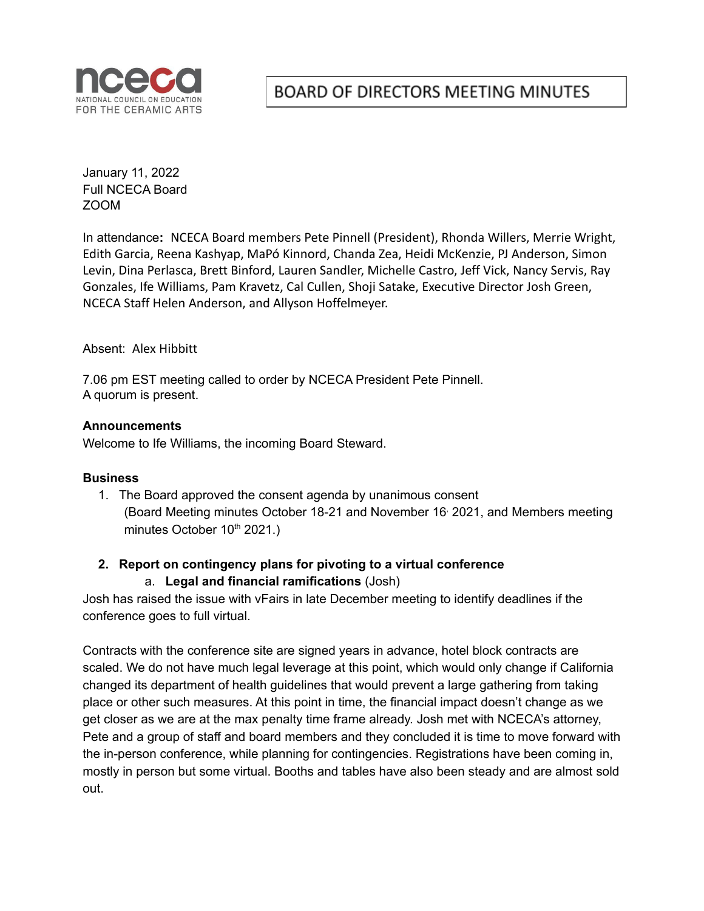

# **BOARD OF DIRECTORS MEETING MINUTES**

January 11, 2022 Full NCECA Board ZOOM

In attendance**:** NCECA Board members Pete Pinnell (President), Rhonda Willers, Merrie Wright, Edith Garcia, Reena Kashyap, MaPó Kinnord, Chanda Zea, Heidi McKenzie, PJ Anderson, Simon Levin, Dina Perlasca, Brett Binford, Lauren Sandler, Michelle Castro, Jeff Vick, Nancy Servis, Ray Gonzales, Ife Williams, Pam Kravetz, Cal Cullen, Shoji Satake, Executive Director Josh Green, NCECA Staff Helen Anderson, and Allyson Hoffelmeyer.

Absent: Alex Hibbitt

7.06 pm EST meeting called to order by NCECA President Pete Pinnell. A quorum is present.

#### **Announcements**

Welcome to Ife Williams, the incoming Board Steward.

#### **Business**

1. The Board approved the consent agenda by unanimous consent (Board Meeting minutes October 18-21 and November 16 , 2021, and Members meeting minutes October 10<sup>th</sup> 2021.)

### **2. Report on contingency plans for pivoting to a virtual conference**

#### a. **Legal and financial ramifications** (Josh)

Josh has raised the issue with vFairs in late December meeting to identify deadlines if the conference goes to full virtual.

Contracts with the conference site are signed years in advance, hotel block contracts are scaled. We do not have much legal leverage at this point, which would only change if California changed its department of health guidelines that would prevent a large gathering from taking place or other such measures. At this point in time, the financial impact doesn't change as we get closer as we are at the max penalty time frame already. Josh met with NCECA's attorney, Pete and a group of staff and board members and they concluded it is time to move forward with the in-person conference, while planning for contingencies. Registrations have been coming in, mostly in person but some virtual. Booths and tables have also been steady and are almost sold out.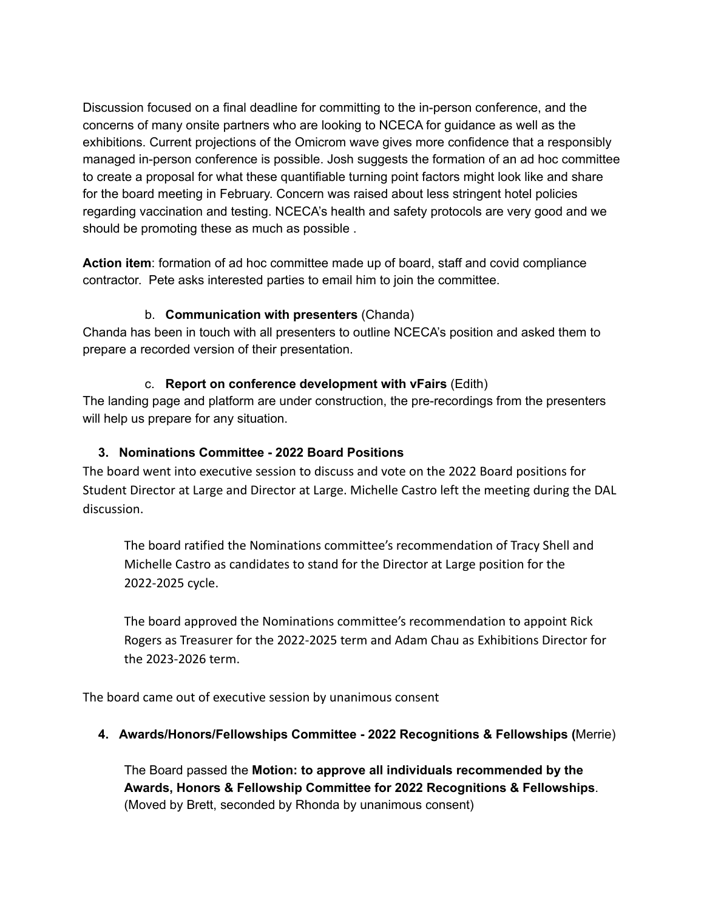Discussion focused on a final deadline for committing to the in-person conference, and the concerns of many onsite partners who are looking to NCECA for guidance as well as the exhibitions. Current projections of the Omicrom wave gives more confidence that a responsibly managed in-person conference is possible. Josh suggests the formation of an ad hoc committee to create a proposal for what these quantifiable turning point factors might look like and share for the board meeting in February. Concern was raised about less stringent hotel policies regarding vaccination and testing. NCECA's health and safety protocols are very good and we should be promoting these as much as possible .

**Action item**: formation of ad hoc committee made up of board, staff and covid compliance contractor. Pete asks interested parties to email him to join the committee.

# b. **Communication with presenters** (Chanda)

Chanda has been in touch with all presenters to outline NCECA's position and asked them to prepare a recorded version of their presentation.

# c. **Report on conference development with vFairs** (Edith)

The landing page and platform are under construction, the pre-recordings from the presenters will help us prepare for any situation.

# **3. Nominations Committee - 2022 Board Positions**

The board went into executive session to discuss and vote on the 2022 Board positions for Student Director at Large and Director at Large. Michelle Castro left the meeting during the DAL discussion.

The board ratified the Nominations committee's recommendation of Tracy Shell and Michelle Castro as candidates to stand for the Director at Large position for the 2022-2025 cycle.

The board approved the Nominations committee's recommendation to appoint Rick Rogers as Treasurer for the 2022-2025 term and Adam Chau as Exhibitions Director for the 2023-2026 term.

The board came out of executive session by unanimous consent

# **4. Awards/Honors/Fellowships Committee - 2022 Recognitions & Fellowships (**Merrie)

The Board passed the **Motion: to approve all individuals recommended by the Awards, Honors & Fellowship Committee for 2022 Recognitions & Fellowships**. (Moved by Brett, seconded by Rhonda by unanimous consent)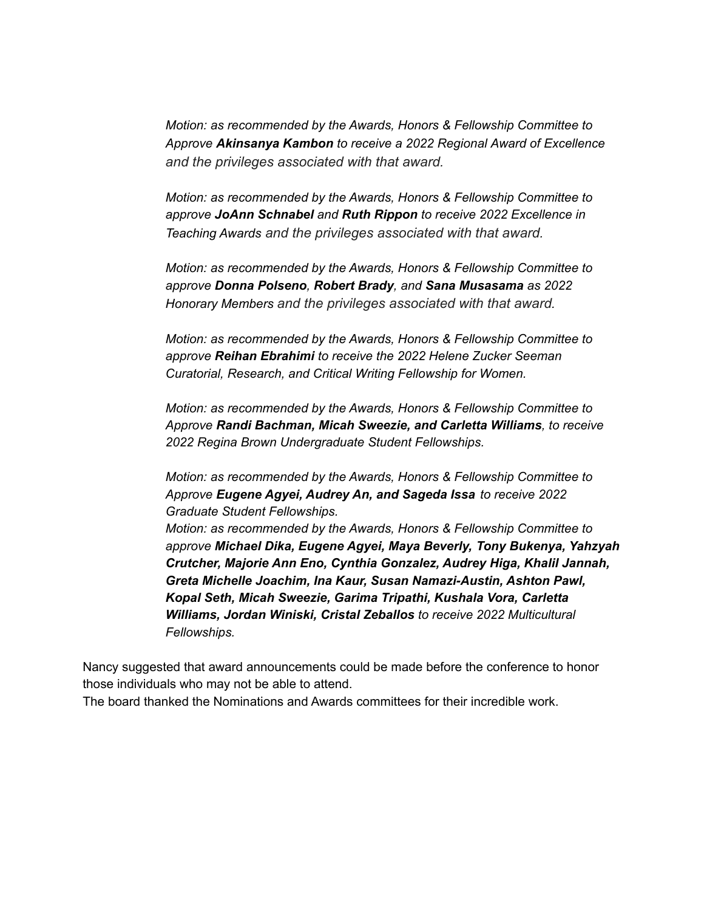*Motion: as recommended by the Awards, Honors & Fellowship Committee to Approve Akinsanya Kambon to receive a 2022 Regional Award of Excellence and the privileges associated with that award.*

*Motion: as recommended by the Awards, Honors & Fellowship Committee to approve JoAnn Schnabel and Ruth Rippon to receive 2022 Excellence in Teaching Awards and the privileges associated with that award.*

*Motion: as recommended by the Awards, Honors & Fellowship Committee to approve Donna Polseno, Robert Brady, and Sana Musasama as 2022 Honorary Members and the privileges associated with that award.*

*Motion: as recommended by the Awards, Honors & Fellowship Committee to approve Reihan Ebrahimi to receive the 2022 Helene Zucker Seeman Curatorial, Research, and Critical Writing Fellowship for Women.*

*Motion: as recommended by the Awards, Honors & Fellowship Committee to Approve Randi Bachman, Micah Sweezie, and Carletta Williams, to receive 2022 Regina Brown Undergraduate Student Fellowships.*

*Motion: as recommended by the Awards, Honors & Fellowship Committee to Approve Eugene Agyei, Audrey An, and Sageda Issa to receive 2022 Graduate Student Fellowships. Motion: as recommended by the Awards, Honors & Fellowship Committee to approve Michael Dika, Eugene Agyei, Maya Beverly, Tony Bukenya, Yahzyah Crutcher, Majorie Ann Eno, Cynthia Gonzalez, Audrey Higa, Khalil Jannah, Greta Michelle Joachim, Ina Kaur, Susan Namazi-Austin, Ashton Pawl, Kopal Seth, Micah Sweezie, Garima Tripathi, Kushala Vora, Carletta Williams, Jordan Winiski, Cristal Zeballos to receive 2022 Multicultural*

Nancy suggested that award announcements could be made before the conference to honor those individuals who may not be able to attend.

The board thanked the Nominations and Awards committees for their incredible work.

*Fellowships.*